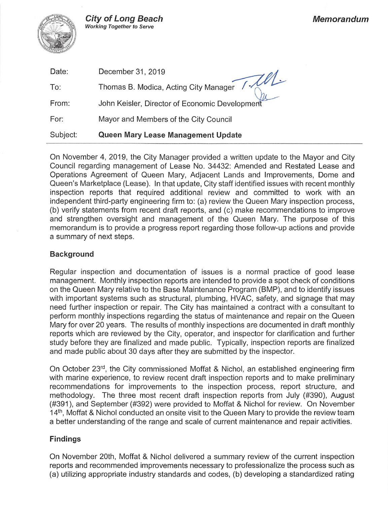

| Date:    | December 31, 2019                              |
|----------|------------------------------------------------|
| To:      | Thomas B. Modica, Acting City Manager / /      |
| From:    | John Keisler, Director of Economic Development |
| For:     | Mayor and Members of the City Council          |
| Subject: | Queen Mary Lease Management Update             |

On November 4, 2019, the City Manager provided a written update to the Mayor and City Council regarding management of Lease No. 34432: Amended and Restated Lease and Operations Agreement of Queen Mary, Adjacent Lands and Improvements, Dome and Queen's Marketplace (Lease). In that update, City staff identified issues with recent monthly inspection reports that required additional review and committed to work with an independent third-party engineering firm to: (a) review the Queen Mary inspection process, (b) verify statements from recent draft reports, and (c) make recommendations to improve and strengthen oversight and management of the Queen Mary. The purpose of this memorandum is to provide a progress report regarding those follow-up actions and provide a summary of next steps.

## **Background**

Regular inspection and documentation of issues is a normal practice of good lease management. Monthly inspection reports are intended to provide a spot check of conditions on the Queen Mary relative to the Base Maintenance Program (BMP), and to identify issues with important systems such as structural, plumbing, HVAC, safety, and signage that may need further inspection or repair. The City has maintained a contract with a consultant to perform monthly inspections regarding the status of maintenance and repair on the Queen Mary for over 20 years. The results of monthly inspections are documented in draft monthly reports which are reviewed by the City, operator, and inspector for clarification and further study before they are finalized and made public. Typically, inspection reports are finalized and made public about 30 days after they are submitted by the inspector.

On October 23<sup>rd</sup>, the City commissioned Moffat & Nichol, an established engineering firm with marine experience, to review recent draft inspection reports and to make preliminary recommendations for improvements to the inspection process, report structure, and methodology. The three most recent draft inspection reports from July (#390), August (#391), and September (#392) were provided to Moffat & Nichol for review. On November 14<sup>th</sup>, Moffat & Nichol conducted an onsite visit to the Queen Mary to provide the review team a better understanding of the range and scale of current maintenance and repair activities.

# **Findings**

On November 20th, Moffat & Nichol delivered a summary review of the current inspection reports and recommended improvements necessary to professionalize the process such as (a) utilizing appropriate industry standards and codes, (b) developing a standardized rating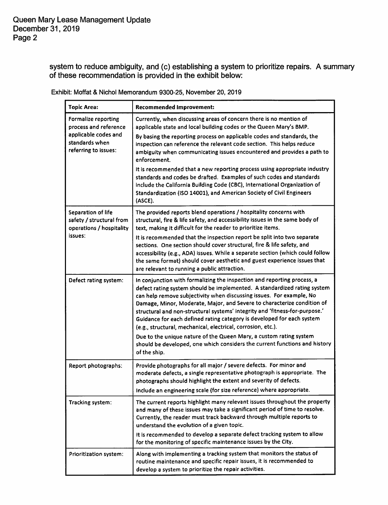system to reduce ambiguity, and (c) establishing a system to prioritize repairs. A summary of these recommendation is provided in the exhibit below:

| <b>Topic Area:</b>                                                                                             | <b>Recommended Improvement:</b>                                                                                                                                                                                                                                                                                                                                                                                                                                                                                                                                                                                         |  |
|----------------------------------------------------------------------------------------------------------------|-------------------------------------------------------------------------------------------------------------------------------------------------------------------------------------------------------------------------------------------------------------------------------------------------------------------------------------------------------------------------------------------------------------------------------------------------------------------------------------------------------------------------------------------------------------------------------------------------------------------------|--|
| Formalize reporting<br>process and reference<br>applicable codes and<br>standards when<br>referring to issues: | Currently, when discussing areas of concern there is no mention of<br>applicable state and local building codes or the Queen Mary's BMP.<br>By basing the reporting process on applicable codes and standards, the<br>inspection can reference the relevant code section. This helps reduce<br>ambiguity when communicating issues encountered and provides a path to<br>enforcement.<br>It is recommended that a new reporting process using appropriate industry<br>standards and codes be drafted. Examples of such codes and standards<br>include the California Building Code (CBC), International Organization of |  |
|                                                                                                                | Standardization (ISO 14001), and American Society of Civil Engineers<br>(ASCE).                                                                                                                                                                                                                                                                                                                                                                                                                                                                                                                                         |  |
| Separation of life<br>safety / structural from<br>operations / hospitality                                     | The provided reports blend operations / hospitality concerns with<br>structural, fire & life safety, and accessibility issues in the same body of<br>text, making it difficult for the reader to prioritize items.                                                                                                                                                                                                                                                                                                                                                                                                      |  |
| issues:                                                                                                        | It is recommended that the inspection report be split into two separate<br>sections. One section should cover structural, fire & life safety, and<br>accessibility (e.g., ADA) issues. While a separate section (which could follow<br>the same format) should cover aesthetic and guest experience issues that<br>are relevant to running a public attraction.                                                                                                                                                                                                                                                         |  |
| Defect rating system:                                                                                          | In conjunction with formalizing the inspection and reporting process, a<br>defect rating system should be implemented. A standardized rating system<br>can help remove subjectivity when discussing issues. For example, No<br>Damage, Minor, Moderate, Major, and Severe to characterize condition of<br>structural and non-structural systems' integrity and 'fitness-for-purpose.'<br>Guidance for each defined rating category is developed for each system<br>(e.g., structural, mechanical, electrical, corrosion, etc.).                                                                                         |  |
|                                                                                                                | Due to the unique nature of the Queen Mary, a custom rating system<br>should be developed, one which considers the current functions and history<br>of the ship.                                                                                                                                                                                                                                                                                                                                                                                                                                                        |  |
| Report photographs:                                                                                            | Provide photographs for all major / severe defects. For minor and<br>moderate defects, a single representative photograph is appropriate. The<br>photographs should highlight the extent and severity of defects.<br>Include an engineering scale (for size reference) where appropriate.                                                                                                                                                                                                                                                                                                                               |  |
| Tracking system:                                                                                               | The current reports highlight many relevant issues throughout the property<br>and many of these issues may take a significant period of time to resolve.<br>Currently, the reader must track backward through multiple reports to<br>understand the evolution of a given topic.<br>It is recommended to develop a separate defect tracking system to allow<br>for the monitoring of specific maintenance issues by the City.                                                                                                                                                                                            |  |
| Prioritization system:                                                                                         | Along with implementing a tracking system that monitors the status of<br>routine maintenance and specific repair issues, it is recommended to<br>develop a system to prioritize the repair activities.                                                                                                                                                                                                                                                                                                                                                                                                                  |  |

Exhibit: Moffat & Nichol Memorandum 9300-25, November 20, 2019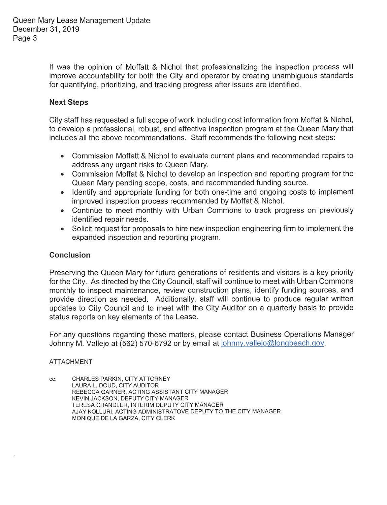Queen Mary Lease Management Update December 31, 2019 Page 3

> It was the opinion of Moffatt & Nichol that professionalizing the inspection process will improve accountability for both the City and operator by creating unambiguous standards for quantifying, prioritizing, and tracking progress after issues are identified.

# **Next Steps**

City staff has requested a full scope of work including cost information from Moffat & Nichol, to develop a professional, robust, and effective inspection program at the Queen Mary that includes all the above recommendations. Staff recommends the following next steps:

- Commission Moffatt & Nichol to evaluate current plans and recommended repairs to address any urgent risks to Queen Mary.
- Commission Moffat & Nichol to develop an inspection and reporting program for the  $\bullet$ Queen Mary pending scope, costs, and recommended funding source.
- Identify and appropriate funding for both one-time and ongoing costs to implement improved inspection process recommended by Moffat & Nichol.
- Continue to meet monthly with Urban Commons to track progress on previously identified repair needs.
- Solicit request for proposals to hire new inspection engineering firm to implement the  $\bullet$ expanded inspection and reporting program.

## Conclusion

Preserving the Queen Mary for future generations of residents and visitors is a key priority for the City. As directed by the City Council, staff will continue to meet with Urban Commons monthly to inspect maintenance, review construction plans, identify funding sources, and provide direction as needed. Additionally, staff will continue to produce regular written updates to City Council and to meet with the City Auditor on a quarterly basis to provide status reports on key elements of the Lease.

For any questions regarding these matters, please contact Business Operations Manager Johnny M. Vallejo at (562) 570-6792 or by email at johnny vallejo@longbeach.gov.

## **ATTACHMENT**

CHARLES PARKIN, CITY ATTORNEY cc: LAURA L. DOUD, CITY AUDITOR REBECCA GARNER, ACTING ASSISTANT CITY MANAGER KEVIN JACKSON, DEPUTY CITY MANAGER TERESA CHANDLER, INTERIM DEPUTY CITY MANAGER AJAY KOLLURI, ACTING ADMINISTRATOVE DEPUTY TO THE CITY MANAGER MONIQUE DE LA GARZA, CITY CLERK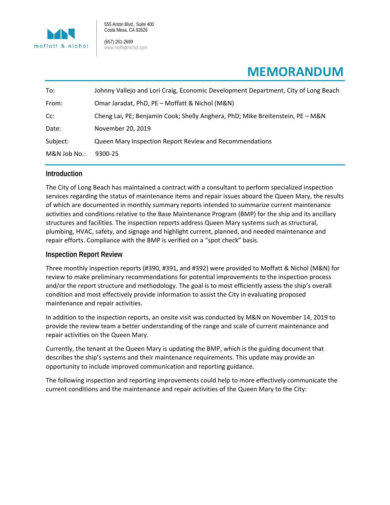

555 Anton Blvd., Suite 400 Costa Mesa, CA 92626

(657) 261-2699 www.moffattnichol.com

# **MEMORANDUM**

| To:          | Johnny Vallejo and Lori Craig, Economic Development Department, City of Long Beach |
|--------------|------------------------------------------------------------------------------------|
| From:        | Omar Jaradat, PhD, PE - Moffatt & Nichol (M&N)                                     |
| Cc:          | Cheng Lai, PE; Benjamin Cook; Shelly Anghera, PhD; Mike Breitenstein, PE - M&N     |
| Date:        | November 20, 2019                                                                  |
| Subject:     | Queen Mary Inspection Report Review and Recommendations                            |
| M&N Job No.: | 9300-25                                                                            |

## **Introduction**

The City of Long Beach has maintained a contract with a consultant to perform specialized inspection services regarding the status of maintenance items and repair issues aboard the Queen Mary, the results of which are documented in monthly summary reports intended to summarize current maintenance activities and conditions relative to the Base Maintenance Program (BMP) for the ship and its ancillary structures and facilities. The inspection reports address Queen Mary systems such as structural, plumbing, HVAC, safety, and signage and highlight current, planned, and needed maintenance and repair efforts. Compliance with the BMP is verified on a "spot check" basis.

### **Inspection Report Review**

Three monthly inspection reports (#390, #391, and #392) were provided to Moffatt & Nichol (M&N) for review to make preliminary recommendations for potential improvements to the inspection process and/or the report structure and methodology. The goal is to most efficiently assess the ship's overall condition and most effectively provide information to assist the City in evaluating proposed maintenance and repair activities.

In addition to the inspection reports, an onsite visit was conducted by M&N on November 14, 2019 to provide the review team a better understanding of the range and scale of current maintenance and repair activities on the Queen Mary.

Currently, the tenant at the Queen Mary is updating the BMP, which is the guiding document that describes the ship's systems and their maintenance requirements. This update may provide an opportunity to include improved communication and reporting guidance.

The following inspection and reporting improvements could help to more effectively communicate the current conditions and the maintenance and repair activities of the Queen Mary to the City: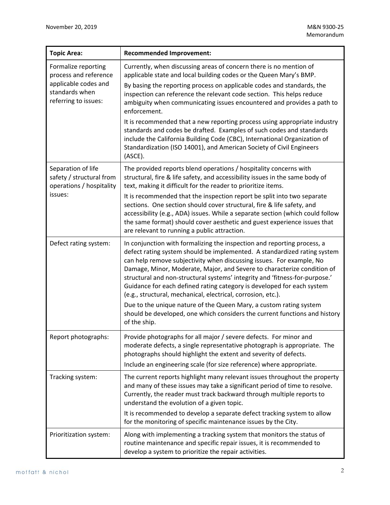| <b>Topic Area:</b>                                                                                             | <b>Recommended Improvement:</b>                                                                                                                                                                                                                                                                                                                                                                                                                                                                                                 |  |
|----------------------------------------------------------------------------------------------------------------|---------------------------------------------------------------------------------------------------------------------------------------------------------------------------------------------------------------------------------------------------------------------------------------------------------------------------------------------------------------------------------------------------------------------------------------------------------------------------------------------------------------------------------|--|
| Formalize reporting<br>process and reference<br>applicable codes and<br>standards when<br>referring to issues: | Currently, when discussing areas of concern there is no mention of<br>applicable state and local building codes or the Queen Mary's BMP.<br>By basing the reporting process on applicable codes and standards, the<br>inspection can reference the relevant code section. This helps reduce<br>ambiguity when communicating issues encountered and provides a path to<br>enforcement.                                                                                                                                           |  |
|                                                                                                                | It is recommended that a new reporting process using appropriate industry<br>standards and codes be drafted. Examples of such codes and standards<br>include the California Building Code (CBC), International Organization of<br>Standardization (ISO 14001), and American Society of Civil Engineers<br>(ASCE).                                                                                                                                                                                                               |  |
| Separation of life<br>safety / structural from<br>operations / hospitality<br>issues:                          | The provided reports blend operations / hospitality concerns with<br>structural, fire & life safety, and accessibility issues in the same body of<br>text, making it difficult for the reader to prioritize items.                                                                                                                                                                                                                                                                                                              |  |
|                                                                                                                | It is recommended that the inspection report be split into two separate<br>sections. One section should cover structural, fire & life safety, and<br>accessibility (e.g., ADA) issues. While a separate section (which could follow<br>the same format) should cover aesthetic and guest experience issues that<br>are relevant to running a public attraction.                                                                                                                                                                 |  |
| Defect rating system:                                                                                          | In conjunction with formalizing the inspection and reporting process, a<br>defect rating system should be implemented. A standardized rating system<br>can help remove subjectivity when discussing issues. For example, No<br>Damage, Minor, Moderate, Major, and Severe to characterize condition of<br>structural and non-structural systems' integrity and 'fitness-for-purpose.'<br>Guidance for each defined rating category is developed for each system<br>(e.g., structural, mechanical, electrical, corrosion, etc.). |  |
|                                                                                                                | Due to the unique nature of the Queen Mary, a custom rating system<br>should be developed, one which considers the current functions and history<br>of the ship.                                                                                                                                                                                                                                                                                                                                                                |  |
| Report photographs:                                                                                            | Provide photographs for all major / severe defects. For minor and<br>moderate defects, a single representative photograph is appropriate. The<br>photographs should highlight the extent and severity of defects.<br>Include an engineering scale (for size reference) where appropriate.                                                                                                                                                                                                                                       |  |
| Tracking system:                                                                                               | The current reports highlight many relevant issues throughout the property<br>and many of these issues may take a significant period of time to resolve.<br>Currently, the reader must track backward through multiple reports to<br>understand the evolution of a given topic.                                                                                                                                                                                                                                                 |  |
|                                                                                                                | It is recommended to develop a separate defect tracking system to allow<br>for the monitoring of specific maintenance issues by the City.                                                                                                                                                                                                                                                                                                                                                                                       |  |
| Prioritization system:                                                                                         | Along with implementing a tracking system that monitors the status of<br>routine maintenance and specific repair issues, it is recommended to<br>develop a system to prioritize the repair activities.                                                                                                                                                                                                                                                                                                                          |  |